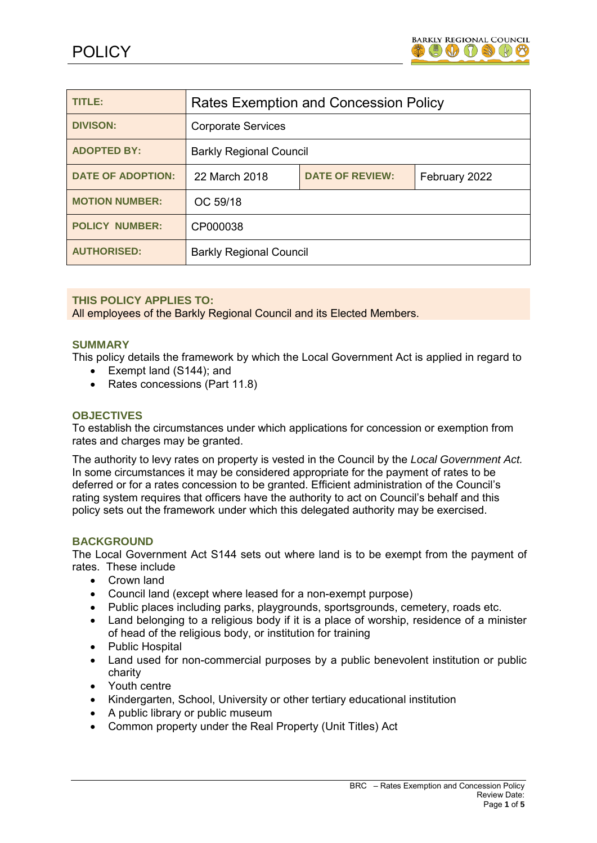

| TITLE:                   | <b>Rates Exemption and Concession Policy</b> |                        |               |
|--------------------------|----------------------------------------------|------------------------|---------------|
| <b>DIVISON:</b>          | <b>Corporate Services</b>                    |                        |               |
| <b>ADOPTED BY:</b>       | <b>Barkly Regional Council</b>               |                        |               |
| <b>DATE OF ADOPTION:</b> | 22 March 2018                                | <b>DATE OF REVIEW:</b> | February 2022 |
| <b>MOTION NUMBER:</b>    | OC 59/18                                     |                        |               |
| <b>POLICY NUMBER:</b>    | CP000038                                     |                        |               |
| <b>AUTHORISED:</b>       | <b>Barkly Regional Council</b>               |                        |               |

## **THIS POLICY APPLIES TO:**

All employees of the Barkly Regional Council and its Elected Members.

### **SUMMARY**

This policy details the framework by which the Local Government Act is applied in regard to

- Exempt land (S144); and
- Rates concessions (Part 11.8)

## **OBJECTIVES**

To establish the circumstances under which applications for concession or exemption from rates and charges may be granted.

The authority to levy rates on property is vested in the Council by the *Local Government Act.* In some circumstances it may be considered appropriate for the payment of rates to be deferred or for a rates concession to be granted. Efficient administration of the Council's rating system requires that officers have the authority to act on Council's behalf and this policy sets out the framework under which this delegated authority may be exercised.

## **BACKGROUND**

The Local Government Act S144 sets out where land is to be exempt from the payment of rates. These include

- Crown land
- Council land (except where leased for a non-exempt purpose)
- Public places including parks, playgrounds, sportsgrounds, cemetery, roads etc.
- Land belonging to a religious body if it is a place of worship, residence of a minister of head of the religious body, or institution for training
- Public Hospital
- Land used for non-commercial purposes by a public benevolent institution or public charity
- Youth centre
- Kindergarten, School, University or other tertiary educational institution
- A public library or public museum
- Common property under the Real Property (Unit Titles) Act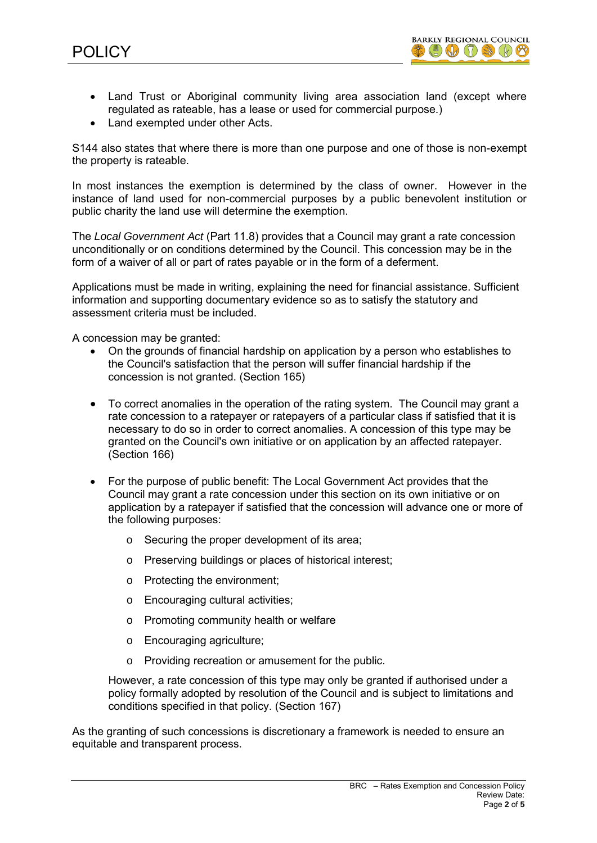

- Land Trust or Aboriginal community living area association land (except where regulated as rateable, has a lease or used for commercial purpose.)
- Land exempted under other Acts.

S144 also states that where there is more than one purpose and one of those is non-exempt the property is rateable.

In most instances the exemption is determined by the class of owner. However in the instance of land used for non-commercial purposes by a public benevolent institution or public charity the land use will determine the exemption.

The *Local Government Act* (Part 11.8) provides that a Council may grant a rate concession unconditionally or on conditions determined by the Council. This concession may be in the form of a waiver of all or part of rates payable or in the form of a deferment.

Applications must be made in writing, explaining the need for financial assistance. Sufficient information and supporting documentary evidence so as to satisfy the statutory and assessment criteria must be included.

A concession may be granted:

- On the grounds of financial hardship on application by a person who establishes to the Council's satisfaction that the person will suffer financial hardship if the concession is not granted. (Section 165)
- To correct anomalies in the operation of the rating system. The Council may grant a rate concession to a ratepayer or ratepayers of a particular class if satisfied that it is necessary to do so in order to correct anomalies. A concession of this type may be granted on the Council's own initiative or on application by an affected ratepayer. (Section 166)
- For the purpose of public benefit: The Local Government Act provides that the Council may grant a rate concession under this section on its own initiative or on application by a ratepayer if satisfied that the concession will advance one or more of the following purposes:
	- o Securing the proper development of its area;
	- o Preserving buildings or places of historical interest;
	- o Protecting the environment;
	- o Encouraging cultural activities;
	- o Promoting community health or welfare
	- o Encouraging agriculture;
	- o Providing recreation or amusement for the public.

However, a rate concession of this type may only be granted if authorised under a policy formally adopted by resolution of the Council and is subject to limitations and conditions specified in that policy. (Section 167)

As the granting of such concessions is discretionary a framework is needed to ensure an equitable and transparent process.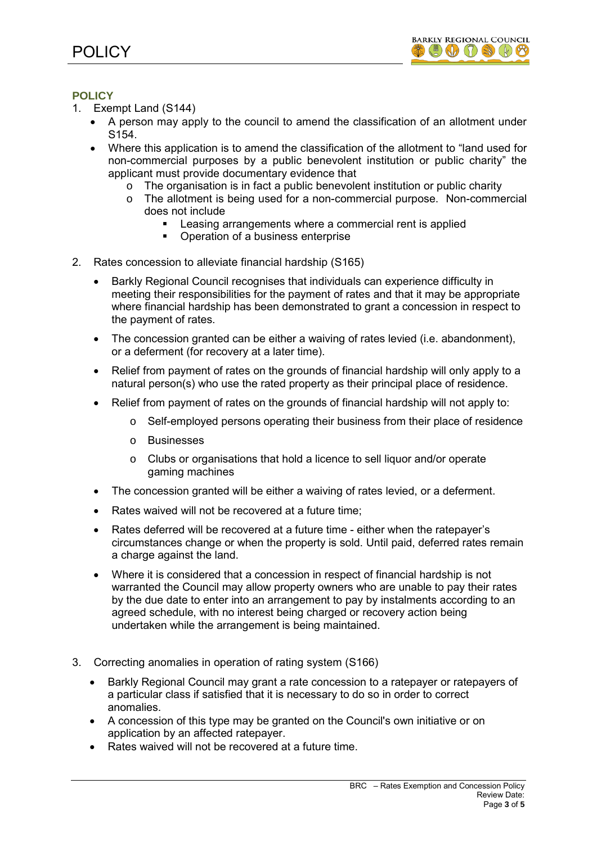

# **POLICY**

- 1. Exempt Land (S144)
	- A person may apply to the council to amend the classification of an allotment under S154.
	- Where this application is to amend the classification of the allotment to "land used for non-commercial purposes by a public benevolent institution or public charity" the applicant must provide documentary evidence that
		- $\circ$  The organisation is in fact a public benevolent institution or public charity
		- o The allotment is being used for a non-commercial purpose. Non-commercial does not include
			- **EXECT:** Leasing arrangements where a commercial rent is applied
			- Operation of a business enterprise
- 2. Rates concession to alleviate financial hardship (S165)
	- Barkly Regional Council recognises that individuals can experience difficulty in meeting their responsibilities for the payment of rates and that it may be appropriate where financial hardship has been demonstrated to grant a concession in respect to the payment of rates.
	- The concession granted can be either a waiving of rates levied (i.e. abandonment), or a deferment (for recovery at a later time).
	- Relief from payment of rates on the grounds of financial hardship will only apply to a natural person(s) who use the rated property as their principal place of residence.
	- Relief from payment of rates on the grounds of financial hardship will not apply to:
		- o Self-employed persons operating their business from their place of residence
		- o Businesses
		- o Clubs or organisations that hold a licence to sell liquor and/or operate gaming machines
	- The concession granted will be either a waiving of rates levied, or a deferment.
	- Rates waived will not be recovered at a future time:
	- Rates deferred will be recovered at a future time either when the ratepayer's circumstances change or when the property is sold. Until paid, deferred rates remain a charge against the land.
	- Where it is considered that a concession in respect of financial hardship is not warranted the Council may allow property owners who are unable to pay their rates by the due date to enter into an arrangement to pay by instalments according to an agreed schedule, with no interest being charged or recovery action being undertaken while the arrangement is being maintained.
- 3. Correcting anomalies in operation of rating system (S166)
	- Barkly Regional Council may grant a rate concession to a ratepayer or ratepayers of a particular class if satisfied that it is necessary to do so in order to correct anomalies.
	- A concession of this type may be granted on the Council's own initiative or on application by an affected ratepayer.
	- Rates waived will not be recovered at a future time.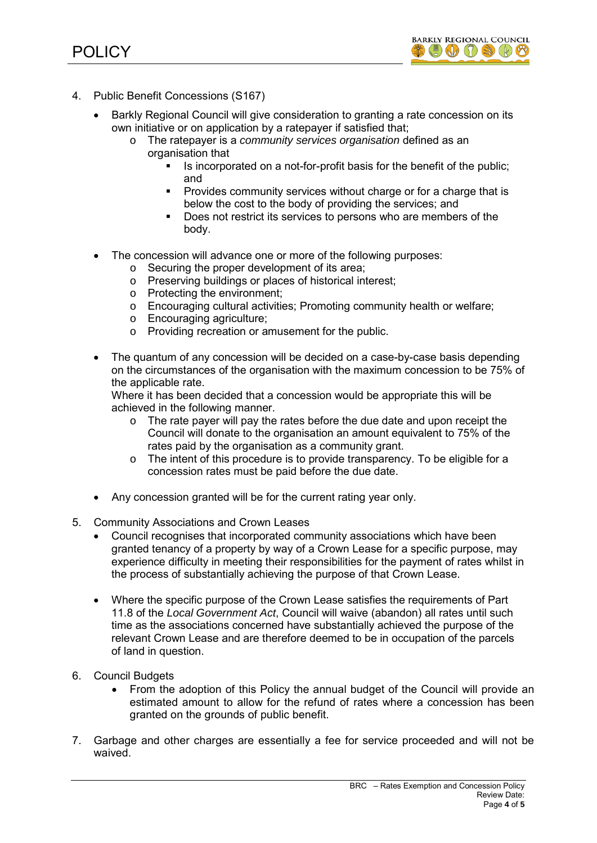

- 4. Public Benefit Concessions (S167)
	- Barkly Regional Council will give consideration to granting a rate concession on its own initiative or on application by a ratepayer if satisfied that;
		- o The ratepayer is a *community services organisation* defined as an organisation that
			- Is incorporated on a not-for-profit basis for the benefit of the public; and
			- Provides community services without charge or for a charge that is below the cost to the body of providing the services; and
			- Does not restrict its services to persons who are members of the body.
	- The concession will advance one or more of the following purposes:
		- o Securing the proper development of its area;
		- o Preserving buildings or places of historical interest;
		- o Protecting the environment;
		- o Encouraging cultural activities; Promoting community health or welfare;
		- o Encouraging agriculture;
		- o Providing recreation or amusement for the public.
	- The quantum of any concession will be decided on a case-by-case basis depending on the circumstances of the organisation with the maximum concession to be 75% of the applicable rate.

Where it has been decided that a concession would be appropriate this will be achieved in the following manner.

- $\circ$  The rate payer will pay the rates before the due date and upon receipt the Council will donate to the organisation an amount equivalent to 75% of the rates paid by the organisation as a community grant.
- $\circ$  The intent of this procedure is to provide transparency. To be eligible for a concession rates must be paid before the due date.
- Any concession granted will be for the current rating year only.
- 5. Community Associations and Crown Leases
	- Council recognises that incorporated community associations which have been granted tenancy of a property by way of a Crown Lease for a specific purpose, may experience difficulty in meeting their responsibilities for the payment of rates whilst in the process of substantially achieving the purpose of that Crown Lease.
	- Where the specific purpose of the Crown Lease satisfies the requirements of Part 11.8 of the *Local Government Act*, Council will waive (abandon) all rates until such time as the associations concerned have substantially achieved the purpose of the relevant Crown Lease and are therefore deemed to be in occupation of the parcels of land in question.
- 6. Council Budgets
	- From the adoption of this Policy the annual budget of the Council will provide an estimated amount to allow for the refund of rates where a concession has been granted on the grounds of public benefit.
- 7. Garbage and other charges are essentially a fee for service proceeded and will not be waived.